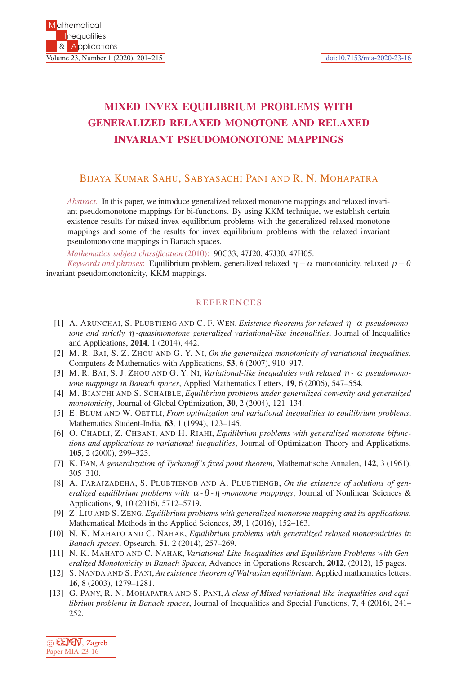## **MIXED INVEX EQUILIBRIUM PROBLEMS WITH GENERALIZED RELAXED MONOTONE AND RELAXED INVARIANT PSEUDOMONOTONE MAPPINGS**

## BIJAYA KUMAR SAHU, SABYASACHI PANI AND R. N. MOHAPATRA

*Abstract.* In this paper, we introduce generalized relaxed monotone mappings and relaxed invariant pseudomonotone mappings for bi-functions. By using KKM technique, we establish certain existence results for mixed invex equilibrium problems with the generalized relaxed monotone mappings and some of the results for invex equilibrium problems with the relaxed invariant pseudomonotone mappings in Banach spaces.

*Mathematics subject classification* (2010): 90C33, 47J20, 47J30, 47H05.

*Keywords and phrases*: Equilibrium problem, generalized relaxed  $\eta - \alpha$  monotonicity, relaxed  $\rho - \theta$ invariant pseudomonotonicity, KKM mappings.

## **REFERENCES**

- [1] A. ARUNCHAI, S. PLUBTIENG AND C. F. WEN, *Existence theorems for relaxed* η *-*<sup>α</sup> *pseudomonotone and strictly* η *-quasimonotone generalized variational-like inequalities*, Journal of Inequalities and Applications, **2014**, 1 (2014), 442.
- [2] M. R. BAI, S. Z. ZHOU AND G. Y. NI, *On the generalized monotonicity of variational inequalities*, Computers & Mathematics with Applications, **53**, 6 (2007), 910–917.
- [3] M. R. BAI, S. J. ZHOU AND G. Y. NI, *Variational-like inequalities with relaxed* η *-* <sup>α</sup> *pseudomonotone mappings in Banach spaces*, Applied Mathematics Letters, **19**, 6 (2006), 547–554.
- [4] M. BIANCHI AND S. SCHAIBLE, *Equilibrium problems under generalized convexity and generalized monotonicity*, Journal of Global Optimization, **30**, 2 (2004), 121–134.
- [5] E. BLUM AND W. OETTLI, *From optimization and variational inequalities to equilibrium problems*, Mathematics Student-India, **63**, 1 (1994), 123–145.
- [6] O. CHADLI, Z. CHBANI, AND H. RIAHI, *Equilibrium problems with generalized monotone bifunctions and applications to variational inequalities*, Journal of Optimization Theory and Applications, **105**, 2 (2000), 299–323.
- [7] K. FAN, *A generalization of Tychonoff 's fixed point theorem*, Mathematische Annalen, **142**, 3 (1961), 305–310.
- [8] A. FARAJZADEHA, S. PLUBTIENGB AND A. PLUBTIENGB, *On the existence of solutions of generalized equilibrium problems with* <sup>α</sup> *-*β *-*η *-monotone mappings*, Journal of Nonlinear Sciences & Applications, **9**, 10 (2016), 5712–5719.
- [9] Z. LIU AND S. ZENG, *Equilibrium problems with generalized monotone mapping and its applications*, Mathematical Methods in the Applied Sciences, **39**, 1 (2016), 152–163.
- [10] N. K. MAHATO AND C. NAHAK, *Equilibrium problems with generalized relaxed monotonicities in Banach spaces*, Opsearch, **51**, 2 (2014), 257–269.
- [11] N. K. MAHATO AND C. NAHAK, *Variational-Like Inequalities and Equilibrium Problems with Generalized Monotonicity in Banach Spaces*, Advances in Operations Research, **2012**, (2012), 15 pages.
- [12] S. NANDA AND S. PANI, *An existence theorem of Walrasian equilibrium*, Applied mathematics letters, **16**, 8 (2003), 1279–1281.
- [13] G. PANY, R. N. MOHAPATRA AND S. PANI, *A class of Mixed variational-like inequalities and equilibrium problems in Banach spaces*, Journal of Inequalities and Special Functions, **7**, 4 (2016), 241– 252.